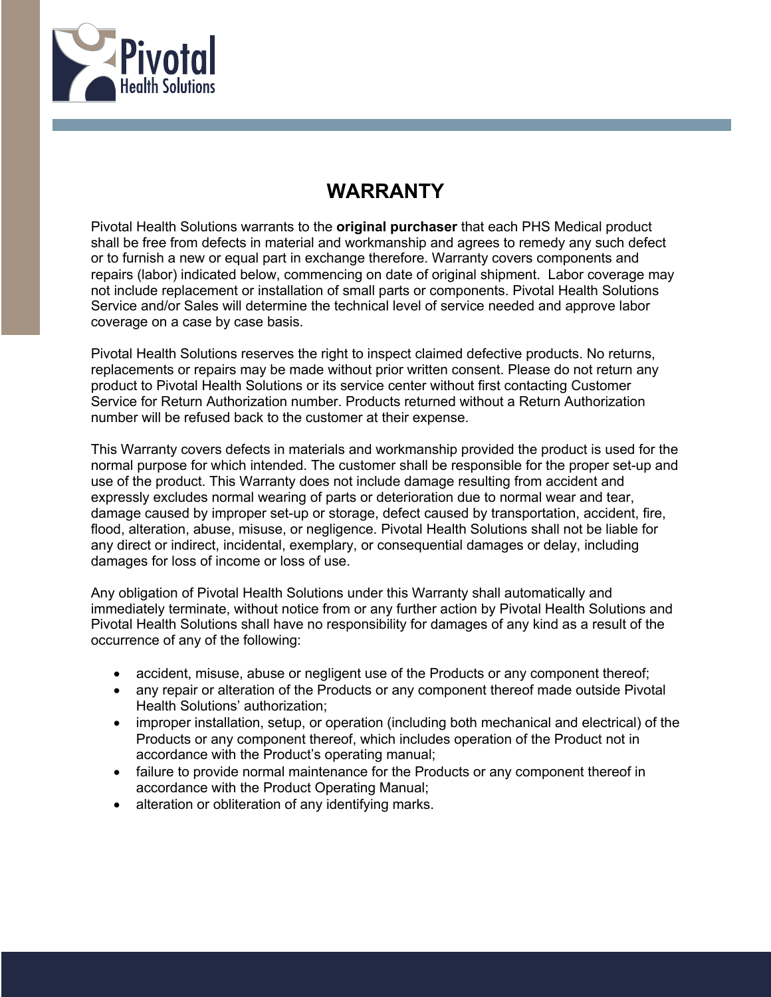

## **WARRANTY**

Pivotal Health Solutions warrants to the **original purchaser** that each PHS Medical product shall be free from defects in material and workmanship and agrees to remedy any such defect or to furnish a new or equal part in exchange therefore. Warranty covers components and repairs (labor) indicated below, commencing on date of original shipment. Labor coverage may not include replacement or installation of small parts or components. Pivotal Health Solutions Service and/or Sales will determine the technical level of service needed and approve labor coverage on a case by case basis.

Pivotal Health Solutions reserves the right to inspect claimed defective products. No returns, replacements or repairs may be made without prior written consent. Please do not return any product to Pivotal Health Solutions or its service center without first contacting Customer Service for Return Authorization number. Products returned without a Return Authorization number will be refused back to the customer at their expense.

This Warranty covers defects in materials and workmanship provided the product is used for the normal purpose for which intended. The customer shall be responsible for the proper set-up and use of the product. This Warranty does not include damage resulting from accident and expressly excludes normal wearing of parts or deterioration due to normal wear and tear, damage caused by improper set-up or storage, defect caused by transportation, accident, fire, flood, alteration, abuse, misuse, or negligence. Pivotal Health Solutions shall not be liable for any direct or indirect, incidental, exemplary, or consequential damages or delay, including damages for loss of income or loss of use.

Any obligation of Pivotal Health Solutions under this Warranty shall automatically and immediately terminate, without notice from or any further action by Pivotal Health Solutions and Pivotal Health Solutions shall have no responsibility for damages of any kind as a result of the occurrence of any of the following:

- accident, misuse, abuse or negligent use of the Products or any component thereof;
- any repair or alteration of the Products or any component thereof made outside Pivotal Health Solutions' authorization;
- improper installation, setup, or operation (including both mechanical and electrical) of the Products or any component thereof, which includes operation of the Product not in accordance with the Product's operating manual;
- failure to provide normal maintenance for the Products or any component thereof in accordance with the Product Operating Manual;
- alteration or obliteration of any identifying marks.